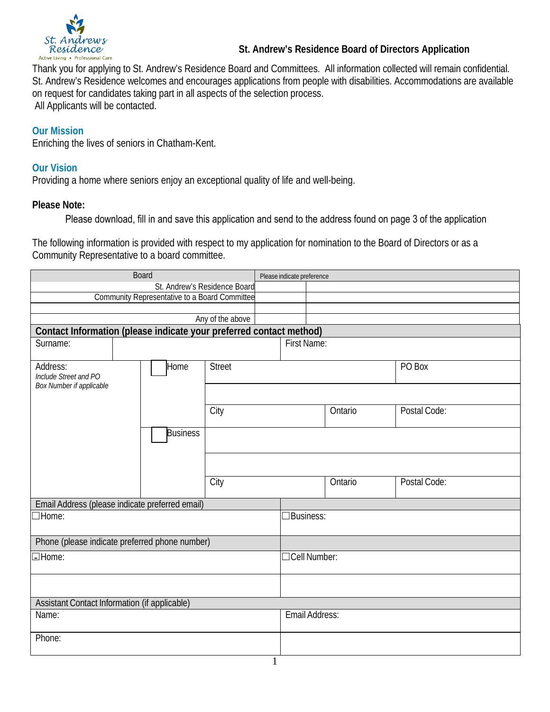

## **St. Andrew's Residence Board of Directors Application**

Thank you for applying to St. Andrew's Residence Board and Committees. All information collected will remain confidential. St. Andrew's Residence welcomes and encourages applications from people with disabilities. Accommodations are available on request for candidates taking part in all aspects of the selection process. All Applicants will be contacted.

## **Our Mission**

Enriching the lives of seniors in Chatham-Kent.

## **Our Vision**

Providing a home where seniors enjoy an exceptional quality of life and well-being.

## **Please Note:**

## Please download, fill in and save this application and send to the address found on page 3 of the application

The following information is provided with respect to my application for nomination to the Board of Directors or as a Community Representative to a board committee.

| <b>Board</b>                                                          |                    |               | Please indicate preference |                  |              |  |
|-----------------------------------------------------------------------|--------------------|---------------|----------------------------|------------------|--------------|--|
| St. Andrew's Residence Board                                          |                    |               |                            |                  |              |  |
| Community Representative to a Board Committee                         |                    |               |                            |                  |              |  |
|                                                                       |                    |               |                            |                  |              |  |
| Any of the above                                                      |                    |               |                            |                  |              |  |
| Contact Information (please indicate your preferred contact method)   |                    |               |                            |                  |              |  |
| Surname:                                                              | <b>First Name:</b> |               |                            |                  |              |  |
| Address:<br>Home<br>Include Street and PO<br>Box Number if applicable |                    | <b>Street</b> |                            |                  | PO Box       |  |
|                                                                       |                    | City          |                            | Ontario          | Postal Code: |  |
|                                                                       | <b>Business</b>    |               |                            |                  |              |  |
|                                                                       |                    | City          |                            | Ontario          | Postal Code: |  |
| Email Address (please indicate preferred email)                       |                    |               |                            |                  |              |  |
| $\exists$ Home:                                                       |                    |               |                            | <b>Business:</b> |              |  |
| Phone (please indicate preferred phone number)                        |                    |               |                            |                  |              |  |
| □Home:                                                                |                    |               |                            | Cell Number:     |              |  |
|                                                                       |                    |               |                            |                  |              |  |
| Assistant Contact Information (if applicable)                         |                    |               |                            |                  |              |  |
| Name:                                                                 |                    |               |                            | Email Address:   |              |  |
| Phone:                                                                |                    |               |                            |                  |              |  |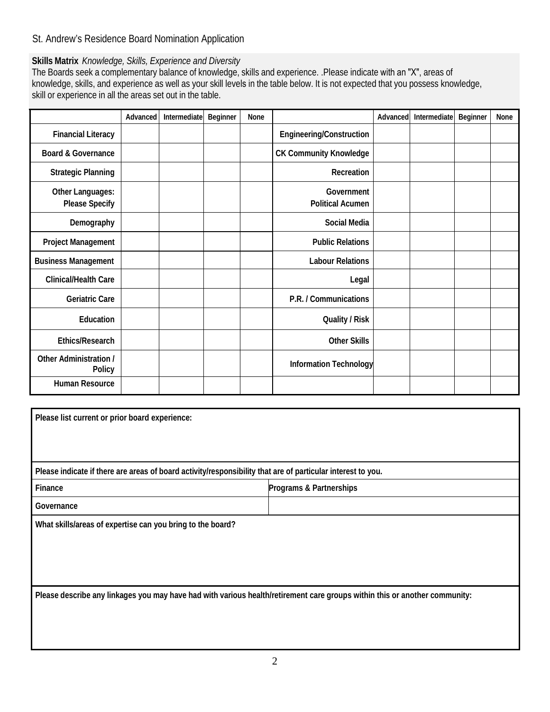# St. Andrew's Residence Board Nomination Application

# **Skills Matrix** *Knowledge, Skills, Experience and Diversity*

The Boards seek a complementary balance of knowledge, skills and experience. .Please indicate with an "X", areas of knowledge, skills, and experience as well as your skill levels in the table below. It is not expected that you possess knowledge, skill or experience in all the areas set out in the table.

|                                           | Advanced | Intermediate | <b>Beginner</b> | None |                                       | Advanced | Intermediate | Beginner | None |
|-------------------------------------------|----------|--------------|-----------------|------|---------------------------------------|----------|--------------|----------|------|
| <b>Financial Literacy</b>                 |          |              |                 |      | Engineering/Construction              |          |              |          |      |
| <b>Board &amp; Governance</b>             |          |              |                 |      | <b>CK Community Knowledge</b>         |          |              |          |      |
| <b>Strategic Planning</b>                 |          |              |                 |      | Recreation                            |          |              |          |      |
| Other Languages:<br><b>Please Specify</b> |          |              |                 |      | Government<br><b>Political Acumen</b> |          |              |          |      |
| Demography                                |          |              |                 |      | <b>Social Media</b>                   |          |              |          |      |
| Project Management                        |          |              |                 |      | <b>Public Relations</b>               |          |              |          |      |
| <b>Business Management</b>                |          |              |                 |      | <b>Labour Relations</b>               |          |              |          |      |
| Clinical/Health Care                      |          |              |                 |      | Legal                                 |          |              |          |      |
| Geriatric Care                            |          |              |                 |      | P.R. / Communications                 |          |              |          |      |
| Education                                 |          |              |                 |      | Quality / Risk                        |          |              |          |      |
| Ethics/Research                           |          |              |                 |      | <b>Other Skills</b>                   |          |              |          |      |
| Other Administration /<br>Policy          |          |              |                 |      | <b>Information Technology</b>         |          |              |          |      |
| Human Resource                            |          |              |                 |      |                                       |          |              |          |      |

| Please list current or prior board experience:                                                                             |                         |  |  |  |
|----------------------------------------------------------------------------------------------------------------------------|-------------------------|--|--|--|
|                                                                                                                            |                         |  |  |  |
|                                                                                                                            |                         |  |  |  |
| Please indicate if there are areas of board activity/responsibility that are of particular interest to you.                |                         |  |  |  |
| Finance                                                                                                                    | Programs & Partnerships |  |  |  |
| Governance                                                                                                                 |                         |  |  |  |
| What skills/areas of expertise can you bring to the board?                                                                 |                         |  |  |  |
|                                                                                                                            |                         |  |  |  |
|                                                                                                                            |                         |  |  |  |
|                                                                                                                            |                         |  |  |  |
| Please describe any linkages you may have had with various health/retirement care groups within this or another community: |                         |  |  |  |
|                                                                                                                            |                         |  |  |  |
|                                                                                                                            |                         |  |  |  |